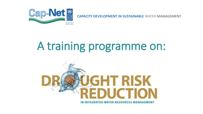

**CAPACITY DEVELOPMENT IN SUSTAINABLE WATER MANAGEMENT**

# A training programme on:

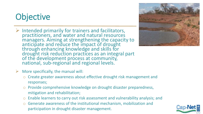# **Objective**

- $\triangleright$  Intended primarily for trainers and facilitators, practitioners, and water and natural resources managers. Aiming at strengthening the capacity to anticipate and reduce the impact of drought through enhancing knowledge and skills for drought risk reduction practices as an integral part of the development process at community, national, sub-regional and regional levels.
- More specifically, the manual will:
	- o Create greater awareness about effective drought risk management and responses;
	- o Provide comprehensive knowledge on drought disaster preparedness, mitigation and rehabilitation;
	- o Enable learners to carry out risk assessment and vulnerability analysis; and
	- o Generate awareness of the institutional mechanism, mobilization and participation in drought disaster management.



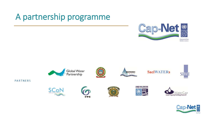# A partnership programme













**PARTNERS** 







m





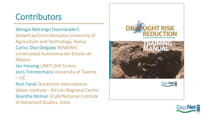### **Contributors**

Wangai Ndirangu (teamleader) WaterCap/Jomo Kenyatta University of Agriculture and Technology, Kenya Carlos Díaz Delgado REMERH/ Universidad Autónoma del Estado de México

Jan Hassing UNEP-DHI Centre

Joris Timmermans University of Twente  $-$  ITC

Nick Tandi Stockholm International Water Institute - African Regional Centre Shantha Mohan SCaN/National Institute of Advanced Studies, India



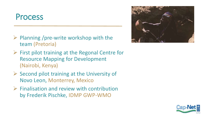#### Process

- $\triangleright$  Planning /pre-write workshop with the team (Pretoria)
- $\triangleright$  First pilot training at the Regonal Centre for Resource Mapping for Development (Nairobi, Kenya)
- $\triangleright$  Second pilot training at the University of Novo Leon, Monterrey, Mexico
- $\triangleright$  Finalisation and review with contribution by Frederik Pischke, IDMP GWP-WMO



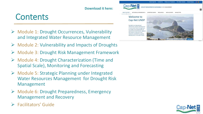#### **Download it here:**

#### **Contents**

- Module 1: Drought Occurrences, Vulnerability and Integrated Water Resource Management
- $\triangleright$  Module 2: Vulnerability and Impacts of Droughts
- Module 3: Drought Risk Management Framework
- Module 4: Drought Characterization (Time and Spatial Scale), Monitoring and Forecasting
- Module 5: Strategic Planning under Integrated Water Resources Management for Drought Risk Management
- Module 6: Drought Preparedness, Emergency Management and Recovery
- $\triangleright$  Facilitators' Guide

#### Welcome to Cap-Net UNDP Cap-Net is an international network for capacity developmen sustainable water management made up of a partnership of this committed to capacit ument in the water sert

**CABACITY INDUSTORMENT** 

**Cap-Net** 



 $\alpha$ 

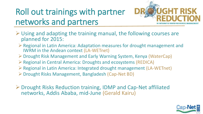## Roll out trainings with partner networks and partners



- $\triangleright$  Using and adapting the training manual, the following courses are planned for 2015:
	- $\triangleright$  Regional in Latin America: Adaptation measures for drought management and IWRM in the Andean context (LA-WETnet)
	- Drought Risk Management and Early Warning System, Kenya (WaterCap)
	- $\triangleright$  Regional in Central America: Droughts and ecosystems (REDICA)
	- Regional in Latin America: Integrated drought management (LA-WETnet)
	- Drought Risks Management, Bangladesh (Cap-Net BD)
- $\triangleright$  Drought Risks Reduction training, IDMP and Cap-Net affiliated networks, Addis Ababa, mid-June (Gerald Kairu)